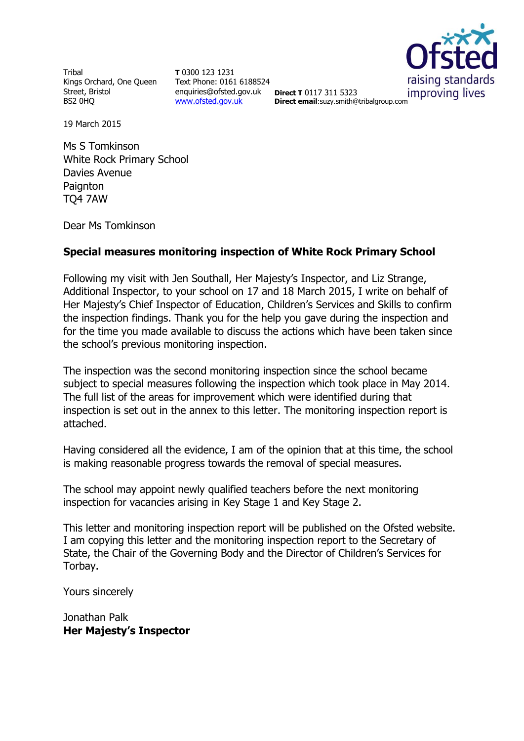Tribal Kings Orchard, One Queen Street, Bristol BS2 0HQ

**T** 0300 123 1231 Text Phone: 0161 6188524 enquiries@ofsted.gov.uk **Direct T** 0117 311 5323 [www.ofsted.gov.uk](http://www.ofsted.gov.uk/)



**Direct T** 0117 311 5323 improving lives<br> **Direct email**:suzy.smith@tribalgroup.com

19 March 2015

Ms S Tomkinson White Rock Primary School Davies Avenue **Paignton** TQ4 7AW

Dear Ms Tomkinson

#### **Special measures monitoring inspection of White Rock Primary School**

Following my visit with Jen Southall, Her Majesty's Inspector, and Liz Strange, Additional Inspector, to your school on 17 and 18 March 2015, I write on behalf of Her Majesty's Chief Inspector of Education, Children's Services and Skills to confirm the inspection findings. Thank you for the help you gave during the inspection and for the time you made available to discuss the actions which have been taken since the school's previous monitoring inspection.

The inspection was the second monitoring inspection since the school became subject to special measures following the inspection which took place in May 2014. The full list of the areas for improvement which were identified during that inspection is set out in the annex to this letter. The monitoring inspection report is attached.

Having considered all the evidence, I am of the opinion that at this time, the school is making reasonable progress towards the removal of special measures.

The school may appoint newly qualified teachers before the next monitoring inspection for vacancies arising in Key Stage 1 and Key Stage 2.

This letter and monitoring inspection report will be published on the Ofsted website. I am copying this letter and the monitoring inspection report to the Secretary of State, the Chair of the Governing Body and the Director of Children's Services for Torbay.

Yours sincerely

Jonathan Palk **Her Majesty's Inspector**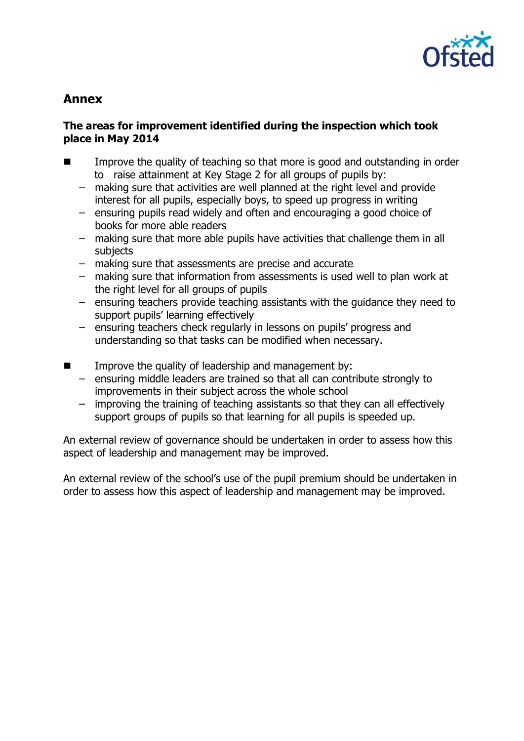

# **Annex**

### **The areas for improvement identified during the inspection which took place in May 2014**

- Improve the quality of teaching so that more is good and outstanding in order to raise attainment at Key Stage 2 for all groups of pupils by:
	- making sure that activities are well planned at the right level and provide interest for all pupils, especially boys, to speed up progress in writing
	- ensuring pupils read widely and often and encouraging a good choice of books for more able readers
	- making sure that more able pupils have activities that challenge them in all subjects
	- making sure that assessments are precise and accurate
	- making sure that information from assessments is used well to plan work at the right level for all groups of pupils
	- ensuring teachers provide teaching assistants with the guidance they need to support pupils' learning effectively
	- ensuring teachers check regularly in lessons on pupils' progress and understanding so that tasks can be modified when necessary.
- $\blacksquare$  Improve the quality of leadership and management by:
	- ensuring middle leaders are trained so that all can contribute strongly to improvements in their subject across the whole school
	- improving the training of teaching assistants so that they can all effectively support groups of pupils so that learning for all pupils is speeded up.

An external review of governance should be undertaken in order to assess how this aspect of leadership and management may be improved.

An external review of the school's use of the pupil premium should be undertaken in order to assess how this aspect of leadership and management may be improved.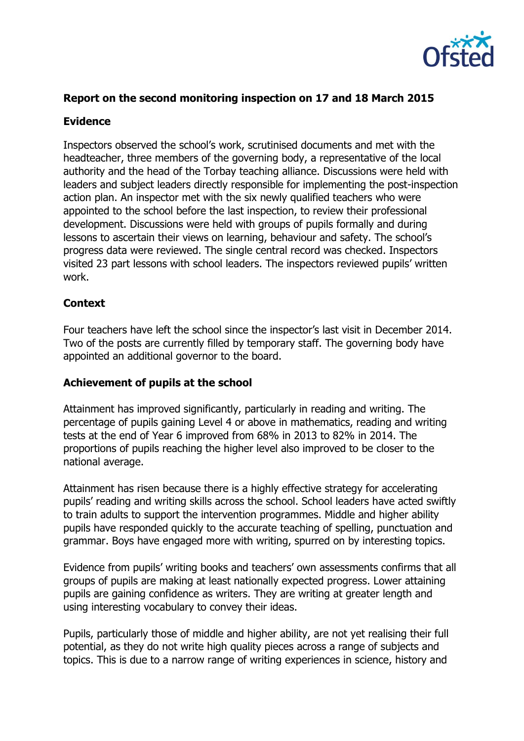

## **Report on the second monitoring inspection on 17 and 18 March 2015**

#### **Evidence**

Inspectors observed the school's work, scrutinised documents and met with the headteacher, three members of the governing body, a representative of the local authority and the head of the Torbay teaching alliance. Discussions were held with leaders and subject leaders directly responsible for implementing the post-inspection action plan. An inspector met with the six newly qualified teachers who were appointed to the school before the last inspection, to review their professional development. Discussions were held with groups of pupils formally and during lessons to ascertain their views on learning, behaviour and safety. The school's progress data were reviewed. The single central record was checked. Inspectors visited 23 part lessons with school leaders. The inspectors reviewed pupils' written work.

#### **Context**

Four teachers have left the school since the inspector's last visit in December 2014. Two of the posts are currently filled by temporary staff. The governing body have appointed an additional governor to the board.

#### **Achievement of pupils at the school**

Attainment has improved significantly, particularly in reading and writing. The percentage of pupils gaining Level 4 or above in mathematics, reading and writing tests at the end of Year 6 improved from 68% in 2013 to 82% in 2014. The proportions of pupils reaching the higher level also improved to be closer to the national average.

Attainment has risen because there is a highly effective strategy for accelerating pupils' reading and writing skills across the school. School leaders have acted swiftly to train adults to support the intervention programmes. Middle and higher ability pupils have responded quickly to the accurate teaching of spelling, punctuation and grammar. Boys have engaged more with writing, spurred on by interesting topics.

Evidence from pupils' writing books and teachers' own assessments confirms that all groups of pupils are making at least nationally expected progress. Lower attaining pupils are gaining confidence as writers. They are writing at greater length and using interesting vocabulary to convey their ideas.

Pupils, particularly those of middle and higher ability, are not yet realising their full potential, as they do not write high quality pieces across a range of subjects and topics. This is due to a narrow range of writing experiences in science, history and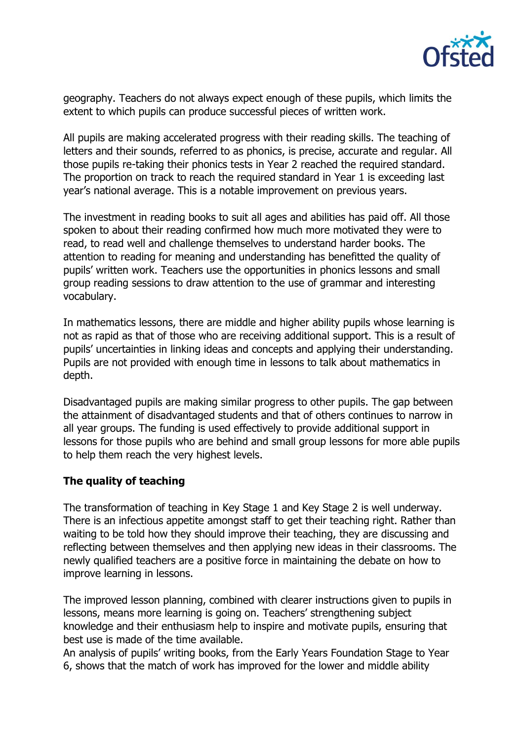

geography. Teachers do not always expect enough of these pupils, which limits the extent to which pupils can produce successful pieces of written work.

All pupils are making accelerated progress with their reading skills. The teaching of letters and their sounds, referred to as phonics, is precise, accurate and regular. All those pupils re-taking their phonics tests in Year 2 reached the required standard. The proportion on track to reach the required standard in Year 1 is exceeding last year's national average. This is a notable improvement on previous years.

The investment in reading books to suit all ages and abilities has paid off. All those spoken to about their reading confirmed how much more motivated they were to read, to read well and challenge themselves to understand harder books. The attention to reading for meaning and understanding has benefitted the quality of pupils' written work. Teachers use the opportunities in phonics lessons and small group reading sessions to draw attention to the use of grammar and interesting vocabulary.

In mathematics lessons, there are middle and higher ability pupils whose learning is not as rapid as that of those who are receiving additional support. This is a result of pupils' uncertainties in linking ideas and concepts and applying their understanding. Pupils are not provided with enough time in lessons to talk about mathematics in depth.

Disadvantaged pupils are making similar progress to other pupils. The gap between the attainment of disadvantaged students and that of others continues to narrow in all year groups. The funding is used effectively to provide additional support in lessons for those pupils who are behind and small group lessons for more able pupils to help them reach the very highest levels.

#### **The quality of teaching**

The transformation of teaching in Key Stage 1 and Key Stage 2 is well underway. There is an infectious appetite amongst staff to get their teaching right. Rather than waiting to be told how they should improve their teaching, they are discussing and reflecting between themselves and then applying new ideas in their classrooms. The newly qualified teachers are a positive force in maintaining the debate on how to improve learning in lessons.

The improved lesson planning, combined with clearer instructions given to pupils in lessons, means more learning is going on. Teachers' strengthening subject knowledge and their enthusiasm help to inspire and motivate pupils, ensuring that best use is made of the time available.

An analysis of pupils' writing books, from the Early Years Foundation Stage to Year 6, shows that the match of work has improved for the lower and middle ability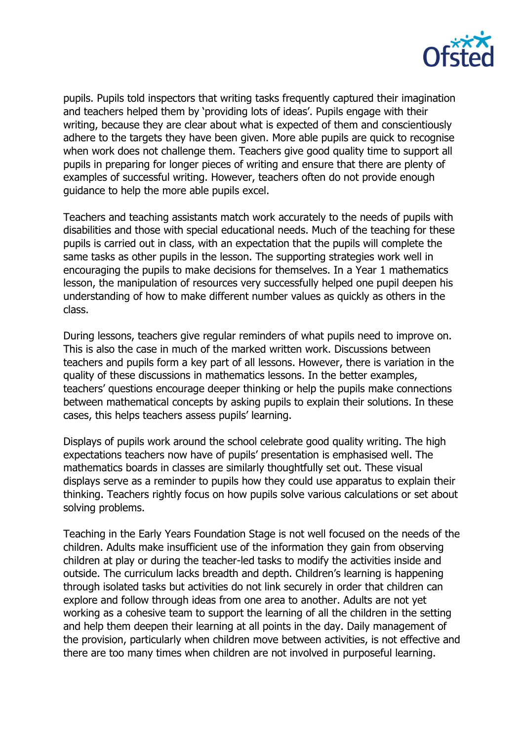

pupils. Pupils told inspectors that writing tasks frequently captured their imagination and teachers helped them by 'providing lots of ideas'. Pupils engage with their writing, because they are clear about what is expected of them and conscientiously adhere to the targets they have been given. More able pupils are quick to recognise when work does not challenge them. Teachers give good quality time to support all pupils in preparing for longer pieces of writing and ensure that there are plenty of examples of successful writing. However, teachers often do not provide enough guidance to help the more able pupils excel.

Teachers and teaching assistants match work accurately to the needs of pupils with disabilities and those with special educational needs. Much of the teaching for these pupils is carried out in class, with an expectation that the pupils will complete the same tasks as other pupils in the lesson. The supporting strategies work well in encouraging the pupils to make decisions for themselves. In a Year 1 mathematics lesson, the manipulation of resources very successfully helped one pupil deepen his understanding of how to make different number values as quickly as others in the class.

During lessons, teachers give regular reminders of what pupils need to improve on. This is also the case in much of the marked written work. Discussions between teachers and pupils form a key part of all lessons. However, there is variation in the quality of these discussions in mathematics lessons. In the better examples, teachers' questions encourage deeper thinking or help the pupils make connections between mathematical concepts by asking pupils to explain their solutions. In these cases, this helps teachers assess pupils' learning.

Displays of pupils work around the school celebrate good quality writing. The high expectations teachers now have of pupils' presentation is emphasised well. The mathematics boards in classes are similarly thoughtfully set out. These visual displays serve as a reminder to pupils how they could use apparatus to explain their thinking. Teachers rightly focus on how pupils solve various calculations or set about solving problems.

Teaching in the Early Years Foundation Stage is not well focused on the needs of the children. Adults make insufficient use of the information they gain from observing children at play or during the teacher-led tasks to modify the activities inside and outside. The curriculum lacks breadth and depth. Children's learning is happening through isolated tasks but activities do not link securely in order that children can explore and follow through ideas from one area to another. Adults are not yet working as a cohesive team to support the learning of all the children in the setting and help them deepen their learning at all points in the day. Daily management of the provision, particularly when children move between activities, is not effective and there are too many times when children are not involved in purposeful learning.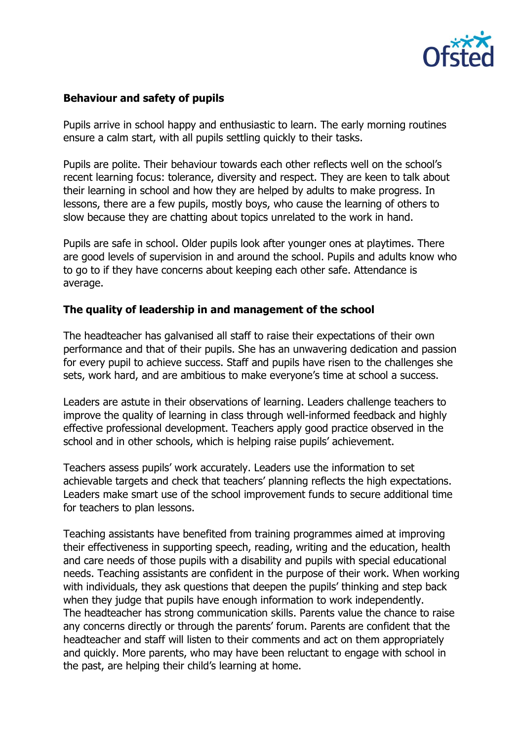

#### **Behaviour and safety of pupils**

Pupils arrive in school happy and enthusiastic to learn. The early morning routines ensure a calm start, with all pupils settling quickly to their tasks.

Pupils are polite. Their behaviour towards each other reflects well on the school's recent learning focus: tolerance, diversity and respect. They are keen to talk about their learning in school and how they are helped by adults to make progress. In lessons, there are a few pupils, mostly boys, who cause the learning of others to slow because they are chatting about topics unrelated to the work in hand.

Pupils are safe in school. Older pupils look after younger ones at playtimes. There are good levels of supervision in and around the school. Pupils and adults know who to go to if they have concerns about keeping each other safe. Attendance is average.

#### **The quality of leadership in and management of the school**

The headteacher has galvanised all staff to raise their expectations of their own performance and that of their pupils. She has an unwavering dedication and passion for every pupil to achieve success. Staff and pupils have risen to the challenges she sets, work hard, and are ambitious to make everyone's time at school a success.

Leaders are astute in their observations of learning. Leaders challenge teachers to improve the quality of learning in class through well-informed feedback and highly effective professional development. Teachers apply good practice observed in the school and in other schools, which is helping raise pupils' achievement.

Teachers assess pupils' work accurately. Leaders use the information to set achievable targets and check that teachers' planning reflects the high expectations. Leaders make smart use of the school improvement funds to secure additional time for teachers to plan lessons.

Teaching assistants have benefited from training programmes aimed at improving their effectiveness in supporting speech, reading, writing and the education, health and care needs of those pupils with a disability and pupils with special educational needs. Teaching assistants are confident in the purpose of their work. When working with individuals, they ask questions that deepen the pupils' thinking and step back when they judge that pupils have enough information to work independently. The headteacher has strong communication skills. Parents value the chance to raise any concerns directly or through the parents' forum. Parents are confident that the headteacher and staff will listen to their comments and act on them appropriately and quickly. More parents, who may have been reluctant to engage with school in the past, are helping their child's learning at home.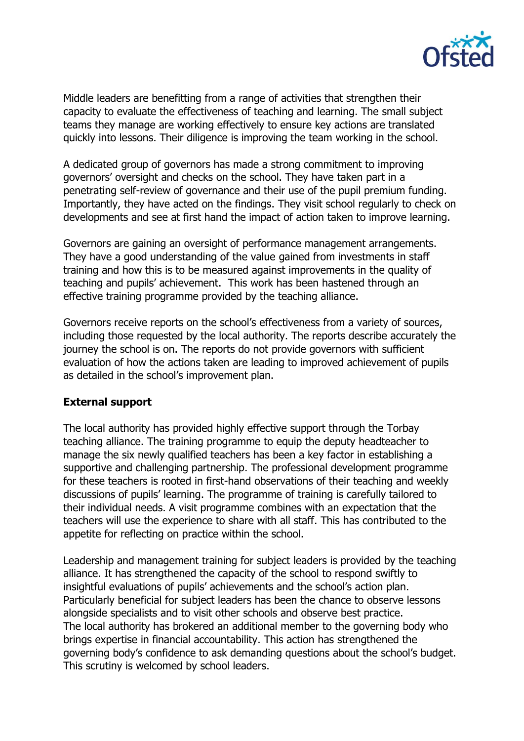

Middle leaders are benefitting from a range of activities that strengthen their capacity to evaluate the effectiveness of teaching and learning. The small subject teams they manage are working effectively to ensure key actions are translated quickly into lessons. Their diligence is improving the team working in the school.

A dedicated group of governors has made a strong commitment to improving governors' oversight and checks on the school. They have taken part in a penetrating self-review of governance and their use of the pupil premium funding. Importantly, they have acted on the findings. They visit school regularly to check on developments and see at first hand the impact of action taken to improve learning.

Governors are gaining an oversight of performance management arrangements. They have a good understanding of the value gained from investments in staff training and how this is to be measured against improvements in the quality of teaching and pupils' achievement. This work has been hastened through an effective training programme provided by the teaching alliance.

Governors receive reports on the school's effectiveness from a variety of sources, including those requested by the local authority. The reports describe accurately the journey the school is on. The reports do not provide governors with sufficient evaluation of how the actions taken are leading to improved achievement of pupils as detailed in the school's improvement plan.

#### **External support**

The local authority has provided highly effective support through the Torbay teaching alliance. The training programme to equip the deputy headteacher to manage the six newly qualified teachers has been a key factor in establishing a supportive and challenging partnership. The professional development programme for these teachers is rooted in first-hand observations of their teaching and weekly discussions of pupils' learning. The programme of training is carefully tailored to their individual needs. A visit programme combines with an expectation that the teachers will use the experience to share with all staff. This has contributed to the appetite for reflecting on practice within the school.

Leadership and management training for subject leaders is provided by the teaching alliance. It has strengthened the capacity of the school to respond swiftly to insightful evaluations of pupils' achievements and the school's action plan. Particularly beneficial for subject leaders has been the chance to observe lessons alongside specialists and to visit other schools and observe best practice. The local authority has brokered an additional member to the governing body who brings expertise in financial accountability. This action has strengthened the governing body's confidence to ask demanding questions about the school's budget. This scrutiny is welcomed by school leaders.